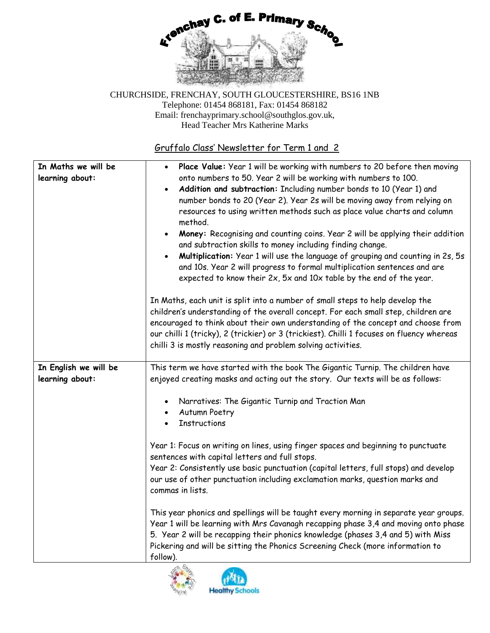

## Gruffalo Class' Newsletter for Term 1 and 2

| In Maths we will be<br>learning about:   | Place Value: Year 1 will be working with numbers to 20 before then moving<br>$\bullet$<br>onto numbers to 50. Year 2 will be working with numbers to 100.<br>Addition and subtraction: Including number bonds to 10 (Year 1) and<br>$\bullet$<br>number bonds to 20 (Year 2). Year 2s will be moving away from relying on<br>resources to using written methods such as place value charts and column<br>method.<br>Money: Recognising and counting coins. Year 2 will be applying their addition<br>$\bullet$<br>and subtraction skills to money including finding change.<br>Multiplication: Year 1 will use the language of grouping and counting in 2s, 5s<br>and 10s. Year 2 will progress to formal multiplication sentences and are<br>expected to know their 2x, 5x and 10x table by the end of the year.                                                          |
|------------------------------------------|----------------------------------------------------------------------------------------------------------------------------------------------------------------------------------------------------------------------------------------------------------------------------------------------------------------------------------------------------------------------------------------------------------------------------------------------------------------------------------------------------------------------------------------------------------------------------------------------------------------------------------------------------------------------------------------------------------------------------------------------------------------------------------------------------------------------------------------------------------------------------|
|                                          | In Maths, each unit is split into a number of small steps to help develop the<br>children's understanding of the overall concept. For each small step, children are<br>encouraged to think about their own understanding of the concept and choose from<br>our chilli 1 (tricky), 2 (trickier) or 3 (trickiest). Chilli 1 focuses on fluency whereas<br>chilli 3 is mostly reasoning and problem solving activities.                                                                                                                                                                                                                                                                                                                                                                                                                                                       |
| In English we will be<br>learning about: | This term we have started with the book The Gigantic Turnip. The children have<br>enjoyed creating masks and acting out the story. Our texts will be as follows:<br>Narratives: The Gigantic Turnip and Traction Man<br><b>Autumn Poetry</b><br><b>Instructions</b><br>Year 1: Focus on writing on lines, using finger spaces and beginning to punctuate<br>sentences with capital letters and full stops.<br>Year 2: Consistently use basic punctuation (capital letters, full stops) and develop<br>our use of other punctuation including exclamation marks, question marks and<br>commas in lists.<br>This year phonics and spellings will be taught every morning in separate year groups.<br>Year 1 will be learning with Mrs Cavanagh recapping phase 3,4 and moving onto phase<br>5. Year 2 will be recapping their phonics knowledge (phases 3,4 and 5) with Miss |
|                                          | Pickering and will be sitting the Phonics Screening Check (more information to<br>follow).                                                                                                                                                                                                                                                                                                                                                                                                                                                                                                                                                                                                                                                                                                                                                                                 |



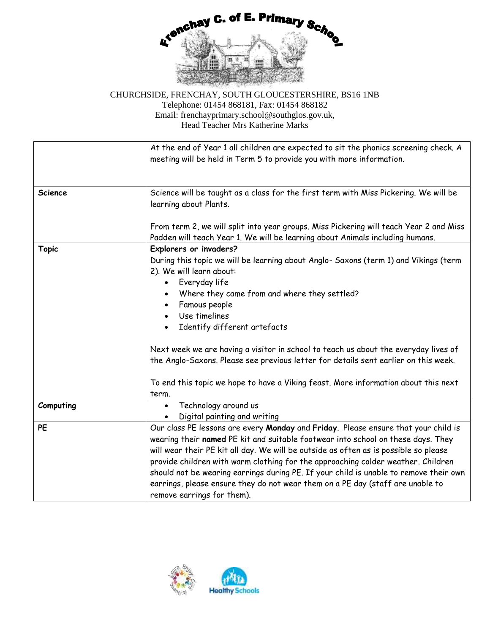

|                | At the end of Year 1 all children are expected to sit the phonics screening check. A<br>meeting will be held in Term 5 to provide you with more information.                                                                                                                                                                                                                                                                                                                                                                                                |  |
|----------------|-------------------------------------------------------------------------------------------------------------------------------------------------------------------------------------------------------------------------------------------------------------------------------------------------------------------------------------------------------------------------------------------------------------------------------------------------------------------------------------------------------------------------------------------------------------|--|
| <b>Science</b> | Science will be taught as a class for the first term with Miss Pickering. We will be<br>learning about Plants.                                                                                                                                                                                                                                                                                                                                                                                                                                              |  |
|                | From term 2, we will split into year groups. Miss Pickering will teach Year 2 and Miss<br>Padden will teach Year 1. We will be learning about Animals including humans.                                                                                                                                                                                                                                                                                                                                                                                     |  |
|                | Explorers or invaders?                                                                                                                                                                                                                                                                                                                                                                                                                                                                                                                                      |  |
| <b>Topic</b>   | During this topic we will be learning about Anglo- Saxons (term 1) and Vikings (term<br>2). We will learn about:<br>Everyday life<br>$\bullet$                                                                                                                                                                                                                                                                                                                                                                                                              |  |
|                | Where they came from and where they settled?                                                                                                                                                                                                                                                                                                                                                                                                                                                                                                                |  |
|                | Famous people                                                                                                                                                                                                                                                                                                                                                                                                                                                                                                                                               |  |
|                | Use timelines<br>$\bullet$                                                                                                                                                                                                                                                                                                                                                                                                                                                                                                                                  |  |
|                | Identify different artefacts                                                                                                                                                                                                                                                                                                                                                                                                                                                                                                                                |  |
|                | Next week we are having a visitor in school to teach us about the everyday lives of<br>the Anglo-Saxons. Please see previous letter for details sent earlier on this week.                                                                                                                                                                                                                                                                                                                                                                                  |  |
|                | To end this topic we hope to have a Viking feast. More information about this next<br>term.                                                                                                                                                                                                                                                                                                                                                                                                                                                                 |  |
| Computing      | Technology around us<br>$\bullet$<br>Digital painting and writing                                                                                                                                                                                                                                                                                                                                                                                                                                                                                           |  |
| <b>PE</b>      | Our class PE lessons are every Monday and Friday. Please ensure that your child is<br>wearing their named PE kit and suitable footwear into school on these days. They<br>will wear their PE kit all day. We will be outside as often as is possible so please<br>provide children with warm clothing for the approaching colder weather. Children<br>should not be wearing earrings during PE. If your child is unable to remove their own<br>earrings, please ensure they do not wear them on a PE day (staff are unable to<br>remove earrings for them). |  |

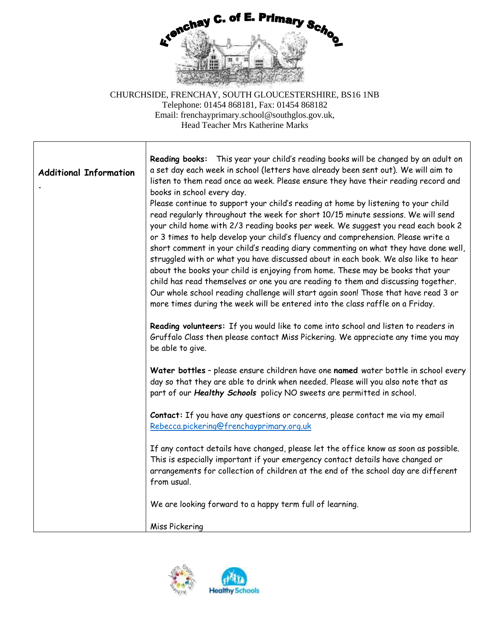

| <b>Additional Information</b> | Reading books: This year your child's reading books will be changed by an adult on<br>a set day each week in school (letters have already been sent out). We will aim to<br>listen to them read once aa week. Please ensure they have their reading record and<br>books in school every day.<br>Please continue to support your child's reading at home by listening to your child<br>read regularly throughout the week for short 10/15 minute sessions. We will send<br>your child home with 2/3 reading books per week. We suggest you read each book 2<br>or 3 times to help develop your child's fluency and comprehension. Please write a<br>short comment in your child's reading diary commenting on what they have done well,<br>struggled with or what you have discussed about in each book. We also like to hear<br>about the books your child is enjoying from home. These may be books that your<br>child has read themselves or one you are reading to them and discussing together.<br>Our whole school reading challenge will start again soon! Those that have read 3 or<br>more times during the week will be entered into the class raffle on a Friday.<br>Reading volunteers: If you would like to come into school and listen to readers in<br>Gruffalo Class then please contact Miss Pickering. We appreciate any time you may<br>be able to give.<br>Water bottles - please ensure children have one named water bottle in school every |
|-------------------------------|------------------------------------------------------------------------------------------------------------------------------------------------------------------------------------------------------------------------------------------------------------------------------------------------------------------------------------------------------------------------------------------------------------------------------------------------------------------------------------------------------------------------------------------------------------------------------------------------------------------------------------------------------------------------------------------------------------------------------------------------------------------------------------------------------------------------------------------------------------------------------------------------------------------------------------------------------------------------------------------------------------------------------------------------------------------------------------------------------------------------------------------------------------------------------------------------------------------------------------------------------------------------------------------------------------------------------------------------------------------------------------------------------------------------------------------------------------------|
|                               | day so that they are able to drink when needed. Please will you also note that as<br>part of our Healthy Schools policy NO sweets are permitted in school.<br>Contact: If you have any questions or concerns, please contact me via my email<br>Rebecca.pickering@frenchayprimary.org.uk                                                                                                                                                                                                                                                                                                                                                                                                                                                                                                                                                                                                                                                                                                                                                                                                                                                                                                                                                                                                                                                                                                                                                                         |
|                               | If any contact details have changed, please let the office know as soon as possible.<br>This is especially important if your emergency contact details have changed or<br>arrangements for collection of children at the end of the school day are different<br>from usual.                                                                                                                                                                                                                                                                                                                                                                                                                                                                                                                                                                                                                                                                                                                                                                                                                                                                                                                                                                                                                                                                                                                                                                                      |
|                               | We are looking forward to a happy term full of learning.                                                                                                                                                                                                                                                                                                                                                                                                                                                                                                                                                                                                                                                                                                                                                                                                                                                                                                                                                                                                                                                                                                                                                                                                                                                                                                                                                                                                         |
|                               | Miss Pickering                                                                                                                                                                                                                                                                                                                                                                                                                                                                                                                                                                                                                                                                                                                                                                                                                                                                                                                                                                                                                                                                                                                                                                                                                                                                                                                                                                                                                                                   |

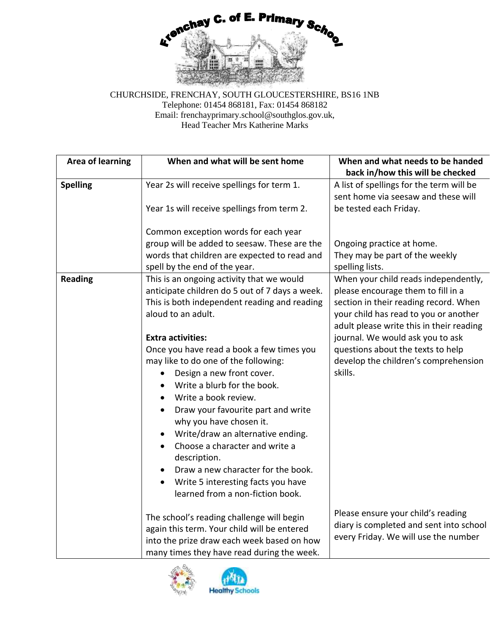

| <b>Area of learning</b> | When and what will be sent home                                                                                                                                                                                                                                                                                                                                                                                                                                                                                                                                                                                                                                                                                 | When and what needs to be handed<br>back in/how this will be checked                                                                                                                                                                                                                                                                 |
|-------------------------|-----------------------------------------------------------------------------------------------------------------------------------------------------------------------------------------------------------------------------------------------------------------------------------------------------------------------------------------------------------------------------------------------------------------------------------------------------------------------------------------------------------------------------------------------------------------------------------------------------------------------------------------------------------------------------------------------------------------|--------------------------------------------------------------------------------------------------------------------------------------------------------------------------------------------------------------------------------------------------------------------------------------------------------------------------------------|
| <b>Spelling</b>         | Year 2s will receive spellings for term 1.<br>Year 1s will receive spellings from term 2.                                                                                                                                                                                                                                                                                                                                                                                                                                                                                                                                                                                                                       | A list of spellings for the term will be<br>sent home via seesaw and these will<br>be tested each Friday.                                                                                                                                                                                                                            |
|                         | Common exception words for each year<br>group will be added to seesaw. These are the<br>words that children are expected to read and<br>spell by the end of the year.                                                                                                                                                                                                                                                                                                                                                                                                                                                                                                                                           | Ongoing practice at home.<br>They may be part of the weekly<br>spelling lists.                                                                                                                                                                                                                                                       |
| <b>Reading</b>          | This is an ongoing activity that we would<br>anticipate children do 5 out of 7 days a week.<br>This is both independent reading and reading<br>aloud to an adult.<br><b>Extra activities:</b><br>Once you have read a book a few times you<br>may like to do one of the following:<br>Design a new front cover.<br>Write a blurb for the book.<br>$\bullet$<br>Write a book review.<br>Draw your favourite part and write<br>why you have chosen it.<br>Write/draw an alternative ending.<br>$\bullet$<br>Choose a character and write a<br>$\bullet$<br>description.<br>Draw a new character for the book.<br>$\bullet$<br>Write 5 interesting facts you have<br>$\bullet$<br>learned from a non-fiction book. | When your child reads independently,<br>please encourage them to fill in a<br>section in their reading record. When<br>your child has read to you or another<br>adult please write this in their reading<br>journal. We would ask you to ask<br>questions about the texts to help<br>develop the children's comprehension<br>skills. |
|                         | The school's reading challenge will begin<br>again this term. Your child will be entered<br>into the prize draw each week based on how<br>many times they have read during the week.                                                                                                                                                                                                                                                                                                                                                                                                                                                                                                                            | Please ensure your child's reading<br>diary is completed and sent into school<br>every Friday. We will use the number                                                                                                                                                                                                                |



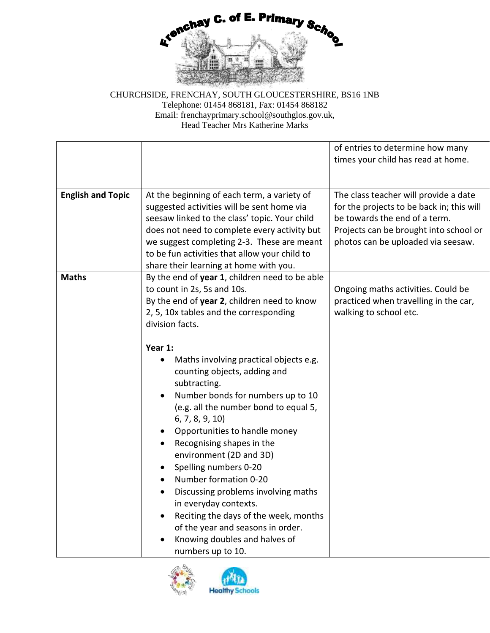

|                          |                                                                                                                                                                                                                                                                                                                                                                                                                                                                                                                                                 | of entries to determine how many<br>times your child has read at home.                                                                                                                              |
|--------------------------|-------------------------------------------------------------------------------------------------------------------------------------------------------------------------------------------------------------------------------------------------------------------------------------------------------------------------------------------------------------------------------------------------------------------------------------------------------------------------------------------------------------------------------------------------|-----------------------------------------------------------------------------------------------------------------------------------------------------------------------------------------------------|
| <b>English and Topic</b> | At the beginning of each term, a variety of<br>suggested activities will be sent home via<br>seesaw linked to the class' topic. Your child<br>does not need to complete every activity but<br>we suggest completing 2-3. These are meant<br>to be fun activities that allow your child to<br>share their learning at home with you.                                                                                                                                                                                                             | The class teacher will provide a date<br>for the projects to be back in; this will<br>be towards the end of a term.<br>Projects can be brought into school or<br>photos can be uploaded via seesaw. |
| <b>Maths</b>             | By the end of year 1, children need to be able<br>to count in 2s, 5s and 10s.<br>By the end of year 2, children need to know<br>2, 5, 10x tables and the corresponding<br>division facts.<br>Year 1:<br>Maths involving practical objects e.g.<br>$\bullet$<br>counting objects, adding and<br>subtracting.<br>Number bonds for numbers up to 10<br>٠<br>(e.g. all the number bond to equal 5,<br>6, 7, 8, 9, 10<br>Opportunities to handle money<br>Recognising shapes in the<br>$\bullet$<br>environment (2D and 3D)<br>Spelling numbers 0-20 | Ongoing maths activities. Could be<br>practiced when travelling in the car,<br>walking to school etc.                                                                                               |
|                          | Number formation 0-20<br>$\bullet$<br>Discussing problems involving maths<br>$\bullet$<br>in everyday contexts.<br>Reciting the days of the week, months<br>$\bullet$<br>of the year and seasons in order.<br>Knowing doubles and halves of<br>numbers up to 10.                                                                                                                                                                                                                                                                                |                                                                                                                                                                                                     |